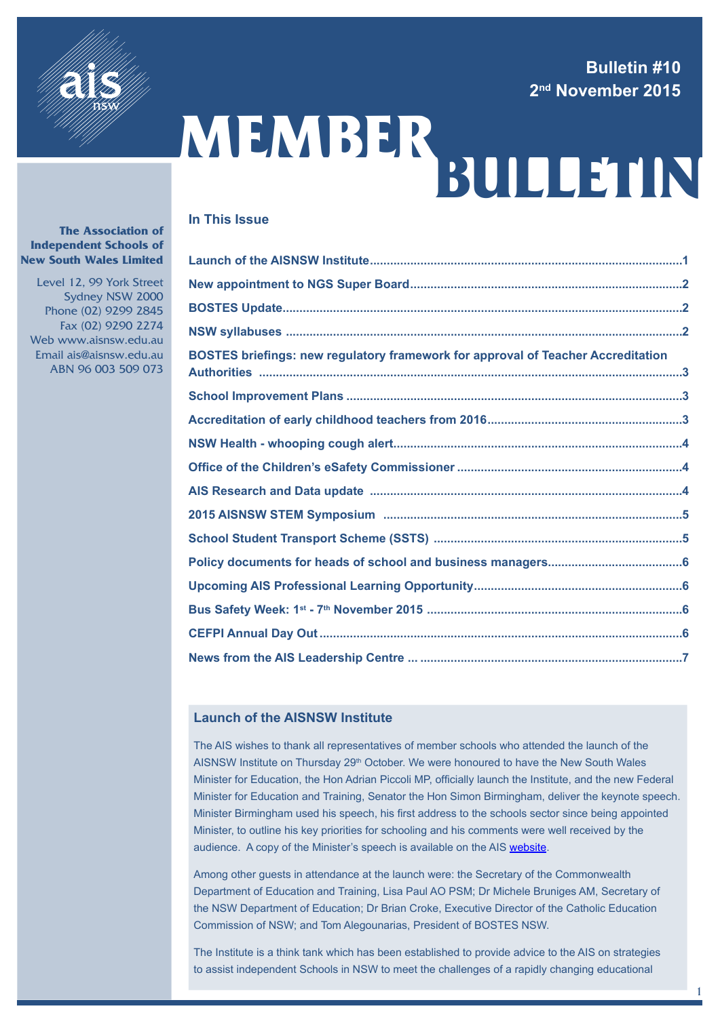# **Bulletin #10 2nd November 2015**



# MEMBER<br>BULLETIN

# **In This Issue**

| BOSTES briefings: new regulatory framework for approval of Teacher Accreditation |
|----------------------------------------------------------------------------------|
|                                                                                  |
|                                                                                  |
|                                                                                  |
|                                                                                  |
|                                                                                  |
|                                                                                  |
|                                                                                  |
|                                                                                  |
|                                                                                  |
|                                                                                  |
|                                                                                  |
|                                                                                  |

# **Launch of the AISNSW Institute**

The AIS wishes to thank all representatives of member schools who attended the launch of the AISNSW Institute on Thursday 29<sup>th</sup> October. We were honoured to have the New South Wales Minister for Education, the Hon Adrian Piccoli MP, officially launch the Institute, and the new Federal Minister for Education and Training, Senator the Hon Simon Birmingham, deliver the keynote speech. Minister Birmingham used his speech, his first address to the schools sector since being appointed Minister, to outline his key priorities for schooling and his comments were well received by the audience. A copy of the Minister's speech is available on the AIS [website.](http://www.aisnsw.edu.au/Publications/News/Documents/Birmingham%20Launch%20of%20the%20AISNSW%20Institute%20Oct%202015.pdf)

Among other guests in attendance at the launch were: the Secretary of the Commonwealth Department of Education and Training, Lisa Paul AO PSM; Dr Michele Bruniges AM, Secretary of the NSW Department of Education; Dr Brian Croke, Executive Director of the Catholic Education Commission of NSW; and Tom Alegounarias, President of BOSTES NSW.

The Institute is a think tank which has been established to provide advice to the AIS on strategies to assist independent Schools in NSW to meet the challenges of a rapidly changing educational

1

#### **The Association of Independent Schools of New South Wales Limited**

 Level 12, 99 York Street Sydney NSW 2000 Phone (02) 9299 2845 Fax (02) 9290 2274 Web www.aisnsw.edu.au Email ais@aisnsw.edu.au ABN 96 003 509 073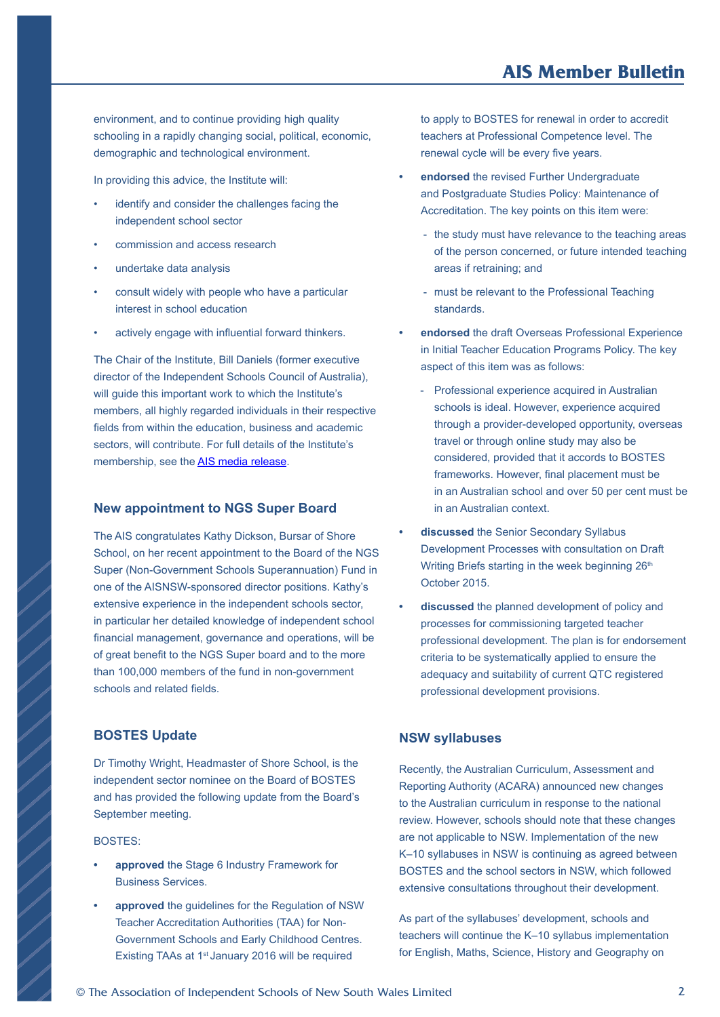# **AIS Member Bulletin**

<span id="page-1-0"></span>environment, and to continue providing high quality schooling in a rapidly changing social, political, economic, demographic and technological environment.

In providing this advice, the Institute will:

- identify and consider the challenges facing the independent school sector
- commission and access research
- undertake data analysis
- consult widely with people who have a particular interest in school education
- actively engage with influential forward thinkers.

The Chair of the Institute, Bill Daniels (former executive director of the Independent Schools Council of Australia), will quide this important work to which the Institute's members, all highly regarded individuals in their respective fields from within the education, business and academic sectors, will contribute. For full details of the Institute's membership, see the [AIS media release](http://www.aisnsw.edu.au/Publications/AISMedia/Documents/Education%20ministers%20launch%20Independent%20schools%20think%20tank.pdf).

#### **New appointment to NGS Super Board**

The AIS congratulates Kathy Dickson, Bursar of Shore School, on her recent appointment to the Board of the NGS Super (Non-Government Schools Superannuation) Fund in one of the AISNSW-sponsored director positions. Kathy's extensive experience in the independent schools sector, in particular her detailed knowledge of independent school financial management, governance and operations, will be of great benefit to the NGS Super board and to the more than 100,000 members of the fund in non-government schools and related fields.

# **BOSTES Update**

Dr Timothy Wright, Headmaster of Shore School, is the independent sector nominee on the Board of BOSTES and has provided the following update from the Board's September meeting.

#### BOSTES:

- **• approved** the Stage 6 Industry Framework for Business Services.
- **• approved** the guidelines for the Regulation of NSW Teacher Accreditation Authorities (TAA) for Non-Government Schools and Early Childhood Centres. Existing TAAs at 1<sup>st</sup> January 2016 will be required

to apply to BOSTES for renewal in order to accredit teachers at Professional Competence level. The renewal cycle will be every five years.

- **• endorsed** the revised Further Undergraduate and Postgraduate Studies Policy: Maintenance of Accreditation. The key points on this item were:
	- the study must have relevance to the teaching areas of the person concerned, or future intended teaching areas if retraining; and
	- must be relevant to the Professional Teaching standards.
- **• endorsed** the draft Overseas Professional Experience in Initial Teacher Education Programs Policy. The key aspect of this item was as follows:
	- Professional experience acquired in Australian schools is ideal. However, experience acquired through a provider-developed opportunity, overseas travel or through online study may also be considered, provided that it accords to BOSTES frameworks. However, final placement must be in an Australian school and over 50 per cent must be in an Australian context.
- **• discussed** the Senior Secondary Syllabus Development Processes with consultation on Draft Writing Briefs starting in the week beginning 26<sup>th</sup> October 2015.
- **• discussed** the planned development of policy and processes for commissioning targeted teacher professional development. The plan is for endorsement criteria to be systematically applied to ensure the adequacy and suitability of current QTC registered professional development provisions.

### **NSW syllabuses**

Recently, the Australian Curriculum, Assessment and Reporting Authority (ACARA) announced new changes to the Australian curriculum in response to the national review. However, schools should note that these changes are not applicable to NSW. Implementation of the new K–10 syllabuses in NSW is continuing as agreed between BOSTES and the school sectors in NSW, which followed extensive consultations throughout their development.

As part of the syllabuses' development, schools and teachers will continue the K–10 syllabus implementation for English, Maths, Science, History and Geography on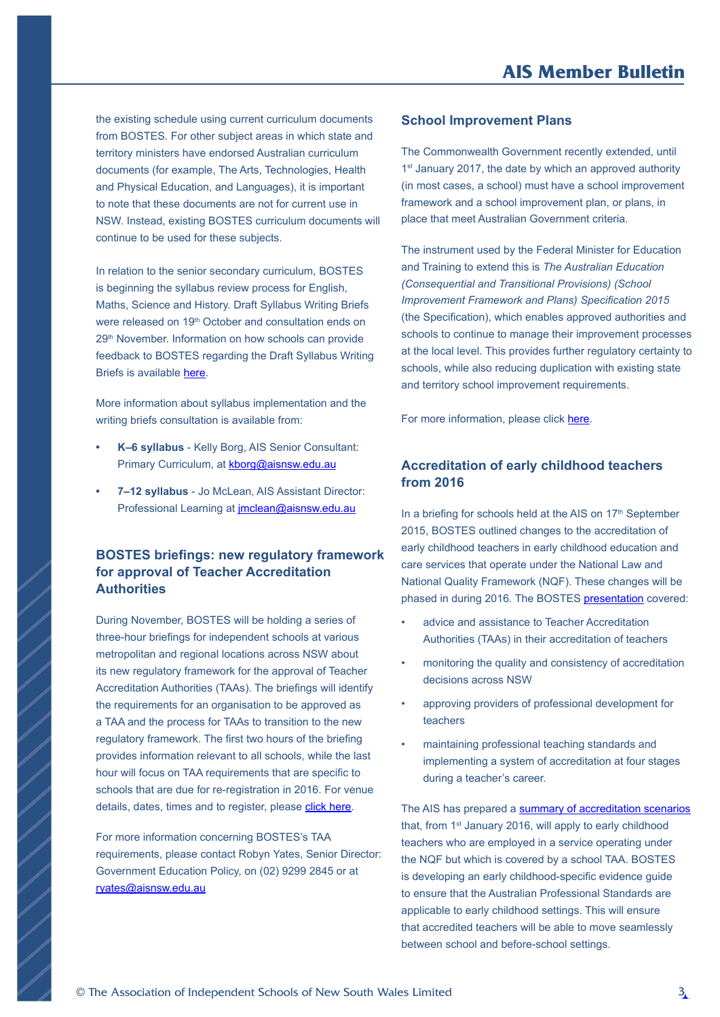<span id="page-2-0"></span>the existing schedule using current curriculum documents from BOSTES. For other subject areas in which state and territory ministers have endorsed Australian curriculum documents (for example, The Arts, Technologies, Health and Physical Education, and Languages), it is important to note that these documents are not for current use in NSW. Instead, existing BOSTES curriculum documents will continue to be used for these subjects.

In relation to the senior secondary curriculum, BOSTES is beginning the syllabus review process for English, Maths, Science and History. Draft Syllabus Writing Briefs were released on 19<sup>th</sup> October and consultation ends on 29th November. Information on how schools can provide feedback to BOSTES regarding the Draft Syllabus Writing Briefs is available [here.](http://news.boardofstudies.nsw.edu.au/index.cfm/2015/10/19/Consultation-begins-on-Senior-Years-English-Mathematics-Science-and-History)

More information about syllabus implementation and the writing briefs consultation is available from:

- **• K–6 syllabus** Kelly Borg, AIS Senior Consultant: Primary Curriculum, at [kborg@aisnsw.edu.au](mailto:kborg%40aisnsw.edu.au?subject=NSW%20syllabuses%20)
- **• 7–12 syllabus** Jo McLean, AIS Assistant Director: Professional Learning at [jmclean@aisnsw.edu.au](mailto:jmclean%40aisnsw.edu.au?subject=NSW%20syllabuses%20)

# **BOSTES briefings: new regulatory framework for approval of Teacher Accreditation Authorities**

During November, BOSTES will be holding a series of three-hour briefings for independent schools at various metropolitan and regional locations across NSW about its new regulatory framework for the approval of Teacher Accreditation Authorities (TAAs). The briefings will identify the requirements for an organisation to be approved as a TAA and the process for TAAs to transition to the new regulatory framework. The first two hours of the briefing provides information relevant to all schools, while the last hour will focus on TAA requirements that are specific to schools that are due for re-registration in 2016. For venue details, dates, times and to register, please [click here](https://www.aisnsw.edu.au/CoursesEvents/Pages/CourseDetail.aspx?cid=4a1e6241-927b-e511-99b1-005056b81031).

For more information concerning BOSTES's TAA requirements, please contact Robyn Yates, Senior Director: Government Education Policy, on (02) 9299 2845 or at [ryates@aisnsw.edu.au](mailto:ryates%40aisnsw.edu.au?subject=BOSTES%20briefings%3A%20new%20regulatory%20framework%20for%20approval%20of%20Teacher%20Accreditation%20Authorities)

#### **School Improvement Plans**

The Commonwealth Government recently extended, until 1<sup>st</sup> January 2017, the date by which an approved authority (in most cases, a school) must have a school improvement framework and a school improvement plan, or plans, in place that meet Australian Government criteria.

The instrument used by the Federal Minister for Education and Training to extend this is *The Australian Education (Consequential and Transitional Provisions) (School Improvement Framework and Plans) Specification 2015*  (the Specification), which enables approved authorities and schools to continue to manage their improvement processes at the local level. This provides further regulatory certainty to schools, while also reducing duplication with existing state and territory school improvement requirements.

For more information, please click [here.](https://www.comlaw.gov.au/Details/F2015L01393/Explanatory%20Statement/Text)

# **Accreditation of early childhood teachers from 2016**

In a briefing for schools held at the AIS on  $17<sup>th</sup>$  September 2015, BOSTES outlined changes to the accreditation of early childhood teachers in early childhood education and care services that operate under the National Law and National Quality Framework (NQF). These changes will be phased in during 2016. The BOSTES [presentation](https://www.aisnsw.edu.au/Publications/News/Documents/Accreditation%20of%20Early%20Childhood%20Teachers.pdf) covered:

- advice and assistance to Teacher Accreditation Authorities (TAAs) in their accreditation of teachers
- monitoring the quality and consistency of accreditation decisions across NSW
- approving providers of professional development for teachers
- maintaining professional teaching standards and implementing a system of accreditation at four stages during a teacher's career.

The AIS has prepared a [summary of accreditation scenarios](https://www.aisnsw.edu.au/Publications/whatsnew/Documents/151008%20Final%20version%20of%20AIS%20table.pdf) that, from 1<sup>st</sup> January 2016, will apply to early childhood teachers who are employed in a service operating under the NQF but which is covered by a school TAA. BOSTES is developing an early childhood-specific evidence guide to ensure that the Australian Professional Standards are applicable to early childhood settings. This will ensure that accredited teachers will be able to move seamlessly between school and before-school settings.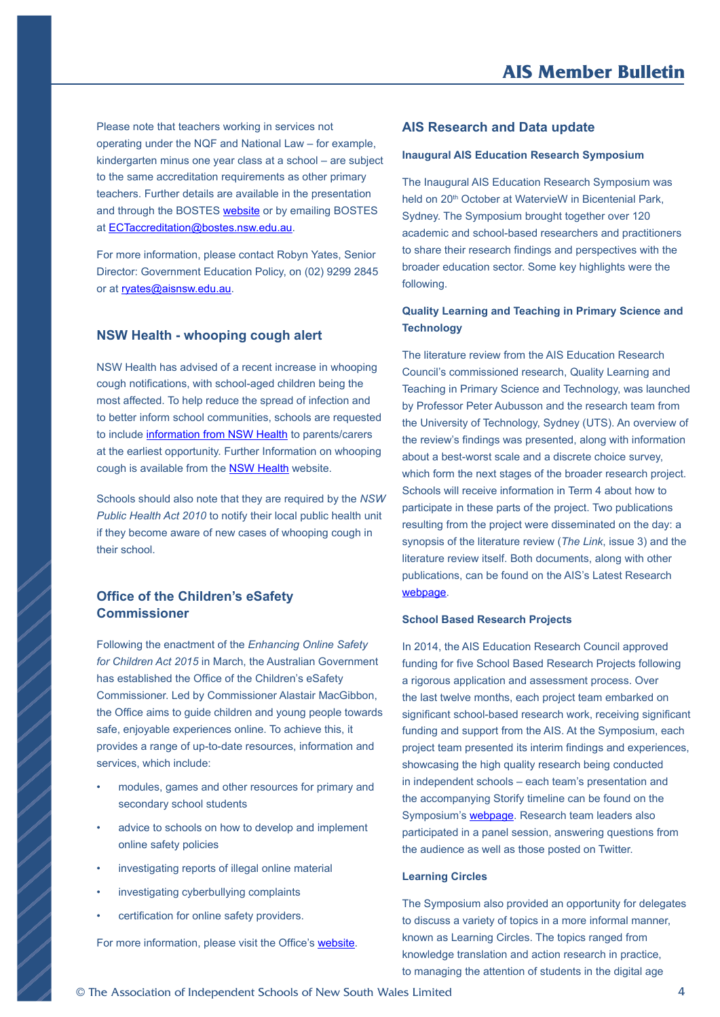<span id="page-3-0"></span>Please note that teachers working in services not operating under the NQF and National Law – for example, kindergarten minus one year class at a school – are subject to the same accreditation requirements as other primary teachers. Further details are available in the presentation and through the BOSTES [website](http://nswteachers.nsw.edu.au/current-teachers/early-childhood-teachers/) or by emailing BOSTES at [ECTaccreditation@bostes.nsw.edu.au.](mailto:ECTaccreditation%40bostes.nsw.edu.au?subject=Accreditation%20of%20early%20childhood%20teachers%20from%202016)

For more information, please contact Robyn Yates, Senior Director: Government Education Policy, on (02) 9299 2845 or at [ryates@aisnsw.edu.au](mailto:ryates%40aisnsw.edu.au?subject=Accreditation%20of%20early%20childhood%20teachers%20from%202016).

#### **NSW Health - whooping cough alert**

NSW Health has advised of a recent increase in whooping cough notifications, with school-aged children being the most affected. To help reduce the spread of infection and to better inform school communities, schools are requested to include [information from NSW Health](https://www.aisnsw.edu.au/Publications/News/Documents/Whooping%20cough%20information%20for%20schools%202015.pdf) to parents/carers at the earliest opportunity. Further Information on whooping cough is available from the **[NSW Health](http://www.health.nsw.gov.au/Pages/default.aspx)** website.

Schools should also note that they are required by the *NSW Public Health Act 2010* to notify their local public health unit if they become aware of new cases of whooping cough in their school.

# **Office of the Children's eSafety Commissioner**

Following the enactment of the *Enhancing Online Safety for Children Act 2015* in March, the Australian Government has established the Office of the Children's eSafety Commissioner. Led by Commissioner Alastair MacGibbon, the Office aims to guide children and young people towards safe, enjoyable experiences online. To achieve this, it provides a range of up-to-date resources, information and services, which include:

- modules, games and other resources for primary and secondary school students
- advice to schools on how to develop and implement online safety policies
- investigating reports of illegal online material
- investigating cyberbullying complaints
- certification for online safety providers.

For more information, please visit the Office's [website](https://www.esafety.gov.au/).

#### **AIS Research and Data update**

#### **Inaugural AIS Education Research Symposium**

The Inaugural AIS Education Research Symposium was held on 20<sup>th</sup> October at WatervieW in Bicentenial Park, Sydney. The Symposium brought together over 120 academic and school-based researchers and practitioners to share their research findings and perspectives with the broader education sector. Some key highlights were the following.

#### **Quality Learning and Teaching in Primary Science and Technology**

The literature review from the AIS Education Research Council's commissioned research, Quality Learning and Teaching in Primary Science and Technology, was launched by Professor Peter Aubusson and the research team from the University of Technology, Sydney (UTS). An overview of the review's findings was presented, along with information about a best-worst scale and a discrete choice survey, which form the next stages of the broader research project. Schools will receive information in Term 4 about how to participate in these parts of the project. Two publications resulting from the project were disseminated on the day: a synopsis of the literature review (*The Link*, issue 3) and the literature review itself. Both documents, along with other publications, can be found on the AIS's Latest Research [webpage](https://www.aisnsw.edu.au/Services/EducationResearch/Pages/Latest-research.aspx).

#### **School Based Research Projects**

In 2014, the AIS Education Research Council approved funding for five School Based Research Projects following a rigorous application and assessment process. Over the last twelve months, each project team embarked on significant school-based research work, receiving significant funding and support from the AIS. At the Symposium, each project team presented its interim findings and experiences, showcasing the high quality research being conducted in independent schools – each team's presentation and the accompanying Storify timeline can be found on the Symposium's [webpage.](https://www.aisnsw.edu.au/Services/EducationResearch/Pages/Symposium.aspx) Research team leaders also participated in a panel session, answering questions from the audience as well as those posted on Twitter.

#### **Learning Circles**

The Symposium also provided an opportunity for delegates to discuss a variety of topics in a more informal manner, known as Learning Circles. The topics ranged from knowledge translation and action research in practice, to managing the attention of students in the digital age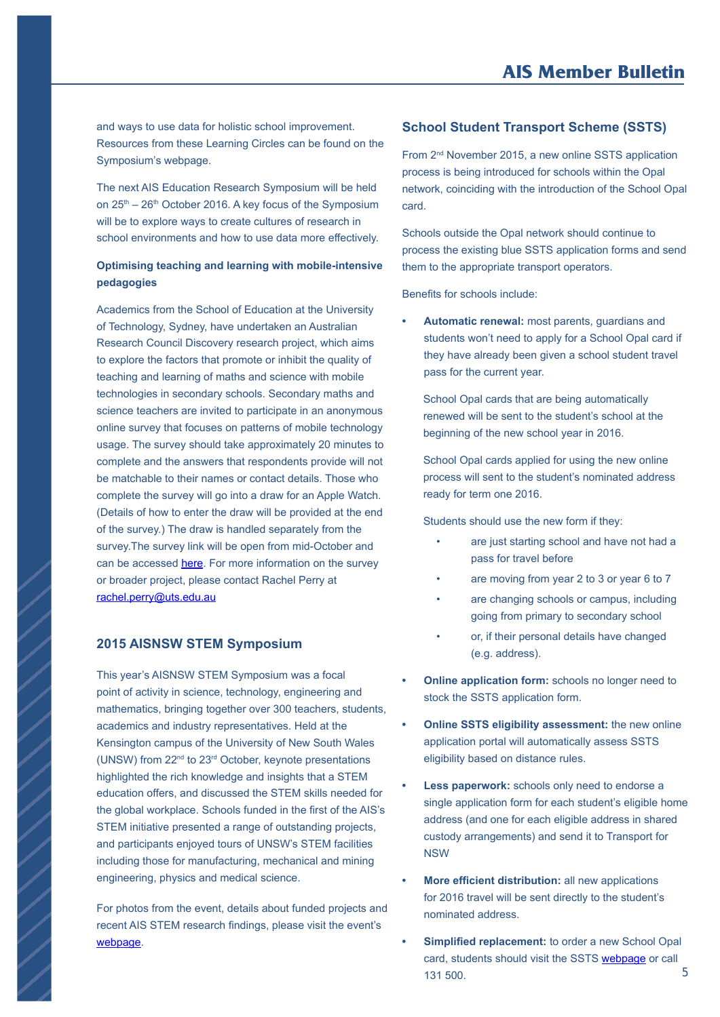<span id="page-4-0"></span>and ways to use data for holistic school improvement. Resources from these Learning Circles can be found on the Symposium's webpage.

The next AIS Education Research Symposium will be held on 25<sup>th</sup> – 26<sup>th</sup> October 2016. A key focus of the Symposium will be to explore ways to create cultures of research in school environments and how to use data more effectively.

# **Optimising teaching and learning with mobile-intensive pedagogies**

Academics from the School of Education at the University of Technology, Sydney, have undertaken an Australian Research Council Discovery research project, which aims to explore the factors that promote or inhibit the quality of teaching and learning of maths and science with mobile technologies in secondary schools. Secondary maths and science teachers are invited to participate in an anonymous online survey that focuses on patterns of mobile technology usage. The survey should take approximately 20 minutes to complete and the answers that respondents provide will not be matchable to their names or contact details. Those who complete the survey will go into a draw for an Apple Watch. (Details of how to enter the draw will be provided at the end of the survey.) The draw is handled separately from the survey.The survey link will be open from mid-October and can be accessed [here](http://survey.confirmit.com/wix/0/p3075785570.aspx). For more information on the survey or broader project, please contact Rachel Perry at [rachel.perry@uts.edu.au](mailto:rachel.perry%40uts.edu.au?subject=Optimising%20teaching%20and%20learning%20with%20mobile-intensive%20pedagogies)

# **2015 AISNSW STEM Symposium**

This year's AISNSW STEM Symposium was a focal point of activity in science, technology, engineering and mathematics, bringing together over 300 teachers, students, academics and industry representatives. Held at the Kensington campus of the University of New South Wales (UNSW) from 22nd to 23rd October, keynote presentations highlighted the rich knowledge and insights that a STEM education offers, and discussed the STEM skills needed for the global workplace. Schools funded in the first of the AIS's STEM initiative presented a range of outstanding projects, and participants enjoyed tours of UNSW's STEM facilities including those for manufacturing, mechanical and mining engineering, physics and medical science.

For photos from the event, details about funded projects and recent AIS STEM research findings, please visit the event's [webpage](https://www.aisnsw.edu.au/Services/Partnerships_in_Education/STEM/Pages/Symposium2015.aspx).

# **School Student Transport Scheme (SSTS)**

From 2<sup>nd</sup> November 2015, a new online SSTS application process is being introduced for schools within the Opal network, coinciding with the introduction of the School Opal card.

Schools outside the Opal network should continue to process the existing blue SSTS application forms and send them to the appropriate transport operators.

Benefits for schools include:

**• Automatic renewal:** most parents, guardians and students won't need to apply for a School Opal card if they have already been given a school student travel pass for the current year.

 School Opal cards that are being automatically renewed will be sent to the student's school at the beginning of the new school year in 2016.

 School Opal cards applied for using the new online process will sent to the student's nominated address ready for term one 2016.

Students should use the new form if they:

- are just starting school and have not had a pass for travel before
- are moving from year 2 to 3 or year 6 to 7
- are changing schools or campus, including going from primary to secondary school
- or, if their personal details have changed (e.g. address).
- **• Online application form:** schools no longer need to stock the SSTS application form.
- **• Online SSTS eligibility assessment:** the new online application portal will automatically assess SSTS eligibility based on distance rules.
- **• Less paperwork:** schools only need to endorse a single application form for each student's eligible home address (and one for each eligible address in shared custody arrangements) and send it to Transport for NSW
- **• More efficient distribution:** all new applications for 2016 travel will be sent directly to the student's nominated address.
- **• Simplified replacement:** to order a new School Opal card, students should visit the SSTS [webpage](http://www.transportnsw.info/school-students) or call 131 500. 5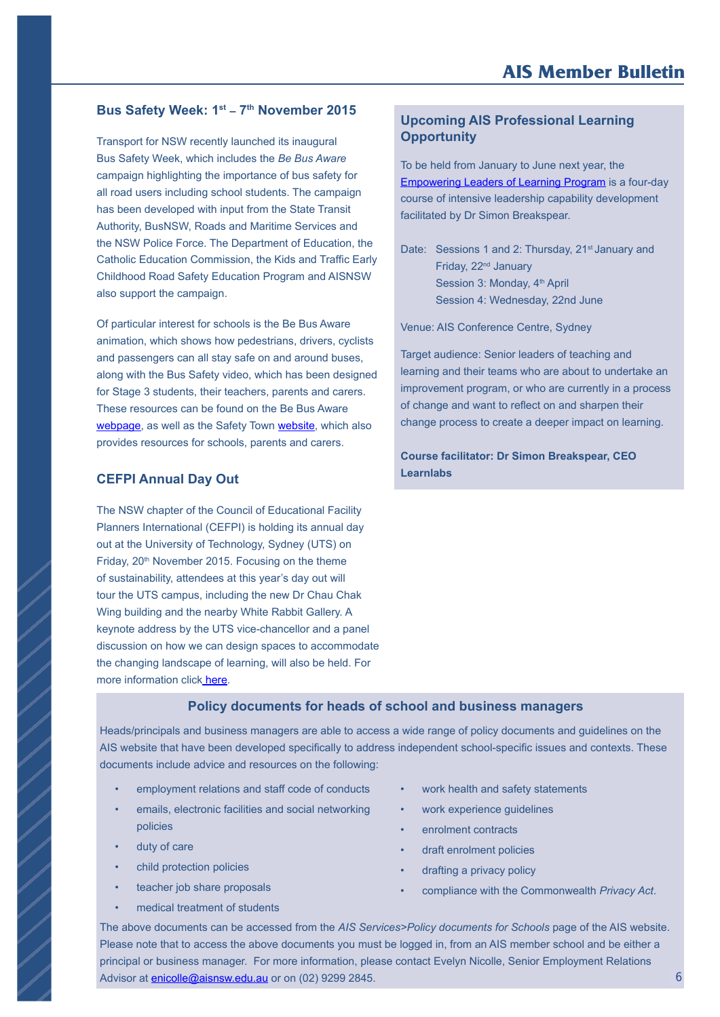### <span id="page-5-0"></span>Bus Safety Week: 1<sup>st</sup> - 7<sup>th</sup> November 2015

Transport for NSW recently launched its inaugural Bus Safety Week, which includes the *Be Bus Aware* campaign highlighting the importance of bus safety for all road users including school students. The campaign has been developed with input from the State Transit Authority, BusNSW, Roads and Maritime Services and the NSW Police Force. The Department of Education, the Catholic Education Commission, the Kids and Traffic Early Childhood Road Safety Education Program and AISNSW also support the campaign.

Of particular interest for schools is the Be Bus Aware animation, which shows how pedestrians, drivers, cyclists and passengers can all stay safe on and around buses, along with the Bus Safety video, which has been designed for Stage 3 students, their teachers, parents and carers. These resources can be found on the Be Bus Aware [webpage](http://roadsafety.transport.nsw.gov.au/campaigns/be-bus-aware/index.html), as well as the Safety Town [website](https://www.safetytown.com.au/), which also provides resources for schools, parents and carers.

#### **CEFPI Annual Day Out**

The NSW chapter of the Council of Educational Facility Planners International (CEFPI) is holding its annual day out at the University of Technology, Sydney (UTS) on Friday, 20<sup>th</sup> November 2015. Focusing on the theme of sustainability, attendees at this year's day out will tour the UTS campus, including the new Dr Chau Chak Wing building and the nearby White Rabbit Gallery. A keynote address by the UTS vice-chancellor and a panel discussion on how we can design spaces to accommodate the changing landscape of learning, will also be held. For more information clic[k here](http://www.aisnsw.edu.au/Publications/AISMedia/Documents/2015%20CEFPI%20NovemberEventSummary.pdf).

# **Upcoming AIS Professional Learning Opportunity**

To be held from January to June next year, the [Empowering Leaders of Learning Program](http://www.aisnsw.edu.au/CoursesEvents/Pages/default.aspx?t.span=next&crit=empowering+leaders+of+learning) is a four-day course of intensive leadership capability development facilitated by Dr Simon Breakspear.

Date: Sessions 1 and 2: Thursday, 21<sup>st</sup> January and Friday, 22<sup>nd</sup> January Session 3: Monday, 4<sup>th</sup> April Session 4: Wednesday, 22nd June

Venue: AIS Conference Centre, Sydney

Target audience: Senior leaders of teaching and learning and their teams who are about to undertake an improvement program, or who are currently in a process of change and want to reflect on and sharpen their change process to create a deeper impact on learning.

**Course facilitator: Dr Simon Breakspear, CEO Learnlabs**

#### **Policy documents for heads of school and business managers**

Heads/principals and business managers are able to access a wide range of policy documents and guidelines on the AIS website that have been developed specifically to address independent school-specific issues and contexts. These documents include advice and resources on the following:

- employment relations and staff code of conducts
- emails, electronic facilities and social networking policies
- duty of care
- child protection policies
- teacher job share proposals
- medical treatment of students
- work health and safety statements
- work experience guidelines
- enrolment contracts
- draft enrolment policies
- drafting a privacy policy
- compliance with the Commonwealth *Privacy Act*.

The above documents can be accessed from the *AIS Services>Policy documents for Schools* page of the AIS website. Please note that to access the above documents you must be logged in, from an AIS member school and be either a principal or business manager. For more information, please contact Evelyn Nicolle, Senior Employment Relations Advisor at **enicolle@aisnsw.edu.au** or on (02) 9299 2845.